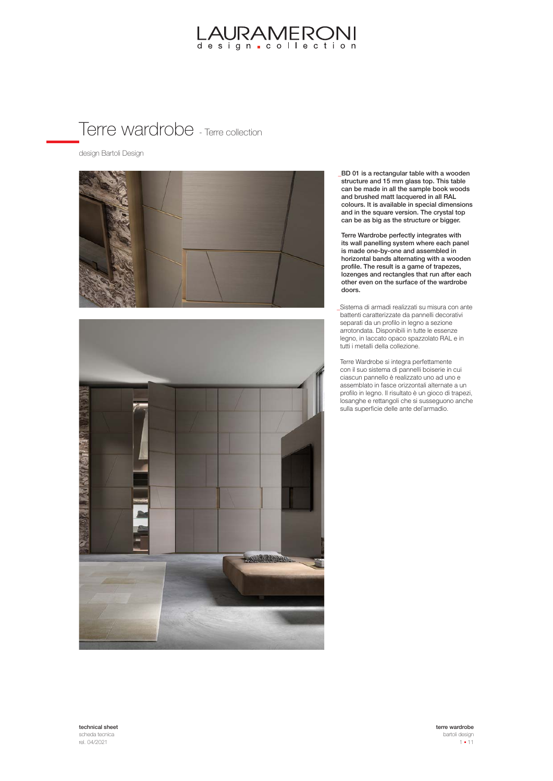#### Terre wardrobe - Terre collection

design Bartoli Design





BD 01 is a rectangular table with a wooden **\_** structure and 15 mm glass top. This table can be made in all the sample book woods and brushed matt lacquered in all RAL colours. It is available in special dimensions and in the square version. The crystal top can be as big as the structure or bigger.

Terre Wardrobe perfectly integrates with its wall panelling system where each panel is made one-by-one and assembled in horizontal bands alternating with a wooden profile. The result is a game of trapezes, lozenges and rectangles that run after each other even on the surface of the wardrobe doors.

Sistema di armadi realizzati su misura con ante **\_** battenti caratterizzate da pannelli decorativi separati da un profilo in legno a sezione arrotondata. Disponibili in tutte le essenze legno, in laccato opaco spazzolato RAL e in tutti i metalli della collezione.

Terre Wardrobe si integra perfettamente con il suo sistema di pannelli boiserie in cui ciascun pannello è realizzato uno ad uno e assemblato in fasce orizzontali alternate a un profilo in legno. Il risultato è un gioco di trapezi, losanghe e rettangoli che si susseguono anche sulla superficie delle ante del'armadio.

technical sheet scheda tecnica rel. 04/2021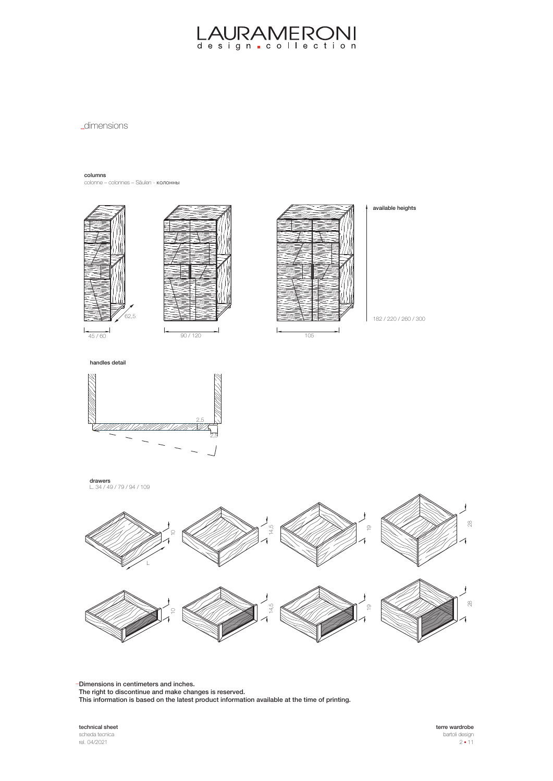**\_dimensions** 

columns

colonne – colonnes – Säulen - колонны





available heights

 $\overline{a}$ 



**drawers**<br>L. 34 / 49 / 79 / 94 / 109



Dimensions in centimeters and inches. **\_**

The right to discontinue and make changes is reserved.

This information is based on the latest product information available at the time of printing.

technical sheet scheda tecnica rel. 04/2021

terre wardrobe bartoli design  $2 - 11$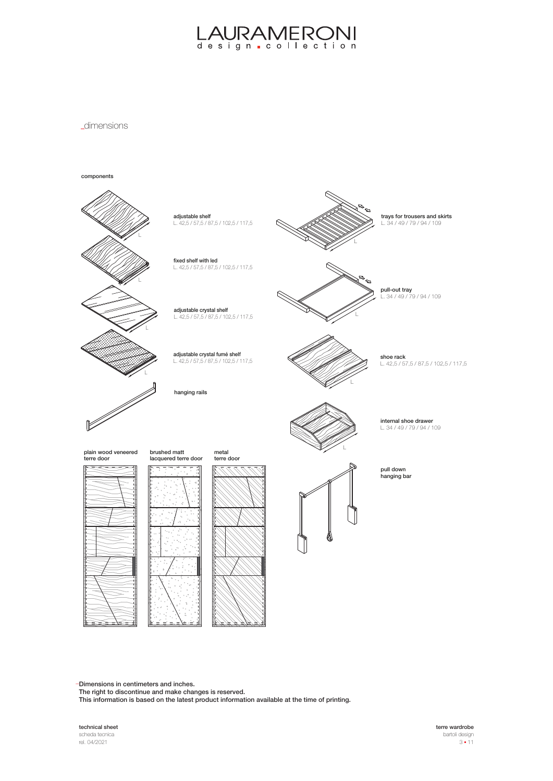**\_dimensions** 



Dimensions in centimeters and inches. **\_**

The right to discontinue and make changes is reserved.

This information is based on the latest product information available at the time of printing.

technical sheet scheda tecnica rel. 04/2021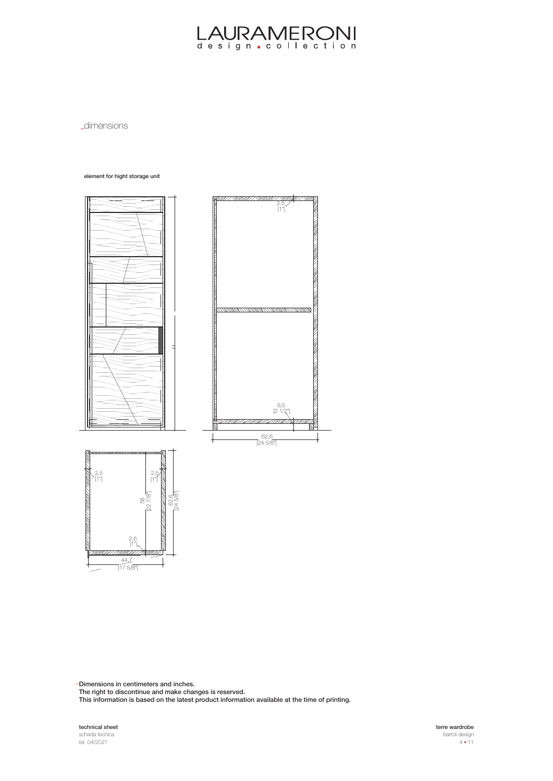**\_dimensions** 

#### element for hight storage unit



Dimensions in centimeters and inches. **\_**

The right to discontinue and make changes is reserved.

This information is based on the latest product information available at the time of printing.

technical sheet scheda tecnica rel. 04/2021

terre wardrobe bartoli design  $4 - 11$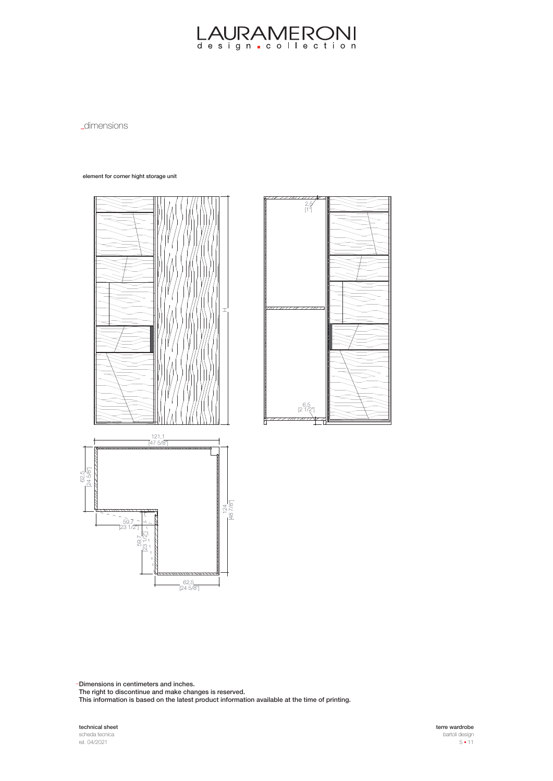**\_dimensions** 

element for corner hight storage unit





Dimensions in centimeters and inches. **\_**

The right to discontinue and make changes is reserved.

This information is based on the latest product information available at the time of printing.

technical sheet scheda tecnica rel. 04/2021

terre wardrobe bartoli design  $5 - 11$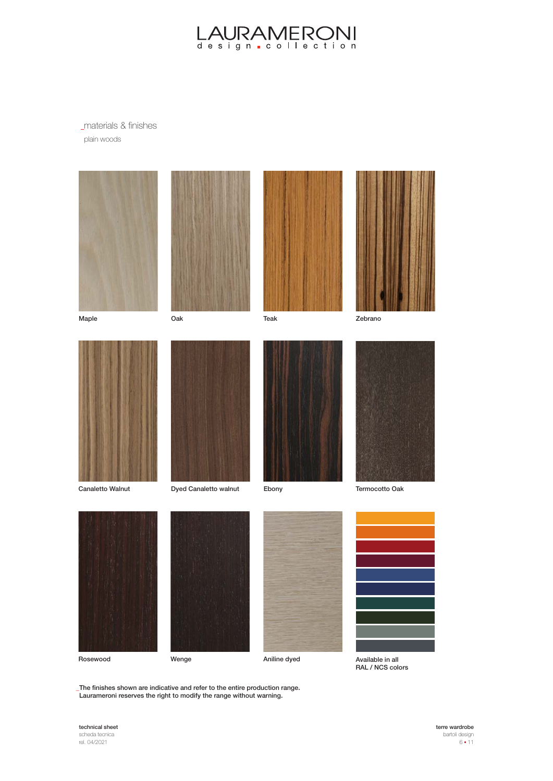materials & finishes plain woods



The finishes shown are indicative and refer to the entire production range. **\_** Laurameroni reserves the right to modify the range without warning.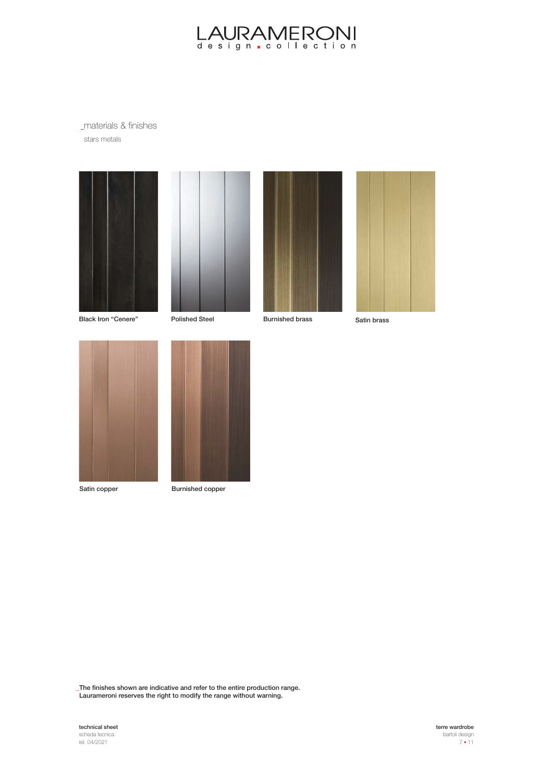materials & finishes stars metals









Black Iron "Cenere" Polished Steel Burnished brass Satin brass





Satin copper Burnished copper

The finishes shown are indicative and refer to the entire production range. **\_** Laurameroni reserves the right to modify the range without warning.



terre wardrobe bartoli design  $7 - 11$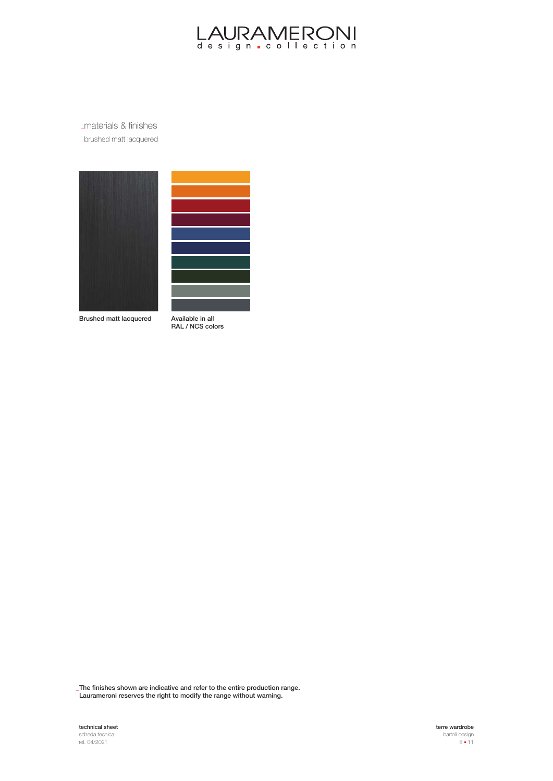

materials & finishes brushed matt lacquered





Brushed matt lacquered

Available in all RAL / NCS colors

The finishes shown are indicative and refer to the entire production range. **\_** Laurameroni reserves the right to modify the range without warning.



terre wardrobe bartoli design  $8 - 11$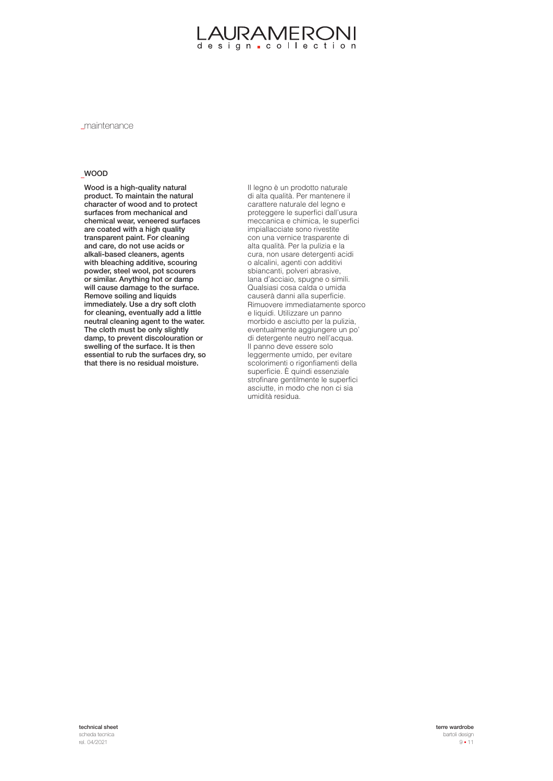maintenance

#### WOOD

Wood is a high-quality natural product. To maintain the natural character of wood and to protect surfaces from mechanical and chemical wear, veneered surfaces are coated with a high quality transparent paint. For cleaning and care, do not use acids or alkali-based cleaners, agents with bleaching additive, scouring powder, steel wool, pot scourers or similar. Anything hot or damp will cause damage to the surface. Remove soiling and liquids immediately. Use a dry soft cloth for cleaning, eventually add a little neutral cleaning agent to the water. The cloth must be only slightly damp, to prevent discolouration or swelling of the surface. It is then essential to rub the surfaces dry, so that there is no residual moisture.

Il legno è un prodotto naturale di alta qualità. Per mantenere il carattere naturale del legno e proteggere le superfici dall'usura meccanica e chimica, le superfici impiallacciate sono rivestite con una vernice trasparente di alta qualità. Per la pulizia e la cura, non usare detergenti acidi o alcalini, agenti con additivi sbiancanti, polveri abrasive, lana d'acciaio, spugne o simili. Qualsiasi cosa calda o umida causerà danni alla superficie. Rimuovere immediatamente sporco e liquidi. Utilizzare un panno morbido e asciutto per la pulizia, eventualmente aggiungere un po' di detergente neutro nell'acqua. Il panno deve essere solo leggermente umido, per evitare scolorimenti o rigonfiamenti della superficie. È quindi essenziale strofinare gentilmente le superfici asciutte, in modo che non ci sia umidità residua.

technical sheet scheda tecnica rel. 04/2021

terre wardrobe bartoli design  $9 - 11$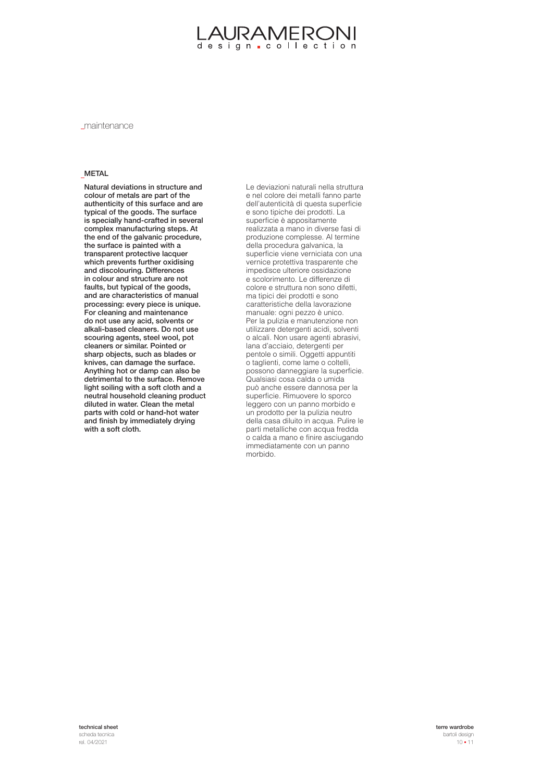#### JRAMERON design collection

maintenance

#### METAL

Natural deviations in structure and colour of metals are part of the authenticity of this surface and are typical of the goods. The surface is specially hand-crafted in several complex manufacturing steps. At the end of the galvanic procedure, the surface is painted with a transparent protective lacquer which prevents further oxidising and discolouring. Differences in colour and structure are not faults, but typical of the goods, and are characteristics of manual processing: every piece is unique. For cleaning and maintenance do not use any acid, solvents or alkali-based cleaners. Do not use scouring agents, steel wool, pot cleaners or similar. Pointed or sharp objects, such as blades or knives, can damage the surface. Anything hot or damp can also be detrimental to the surface. Remove light soiling with a soft cloth and a neutral household cleaning product diluted in water. Clean the metal parts with cold or hand-hot water and finish by immediately drying with a soft cloth.

Le deviazioni naturali nella struttura e nel colore dei metalli fanno parte dell'autenticità di questa superficie e sono tipiche dei prodotti. La superficie è appositamente realizzata a mano in diverse fasi di produzione complesse. Al termine della procedura galvanica, la superficie viene verniciata con una vernice protettiva trasparente che impedisce ulteriore ossidazione e scolorimento. Le differenze di colore e struttura non sono difetti, ma tipici dei prodotti e sono caratteristiche della lavorazione manuale: ogni pezzo è unico. Per la pulizia e manutenzione non utilizzare detergenti acidi, solventi o alcali. Non usare agenti abrasivi, lana d'acciaio, detergenti per pentole o simili. Oggetti appuntiti o taglienti, come lame o coltelli, possono danneggiare la superficie. Qualsiasi cosa calda o umida può anche essere dannosa per la superficie. Rimuovere lo sporco leggero con un panno morbido e un prodotto per la pulizia neutro della casa diluito in acqua. Pulire le parti metalliche con acqua fredda o calda a mano e finire asciugando immediatamente con un panno morbido.